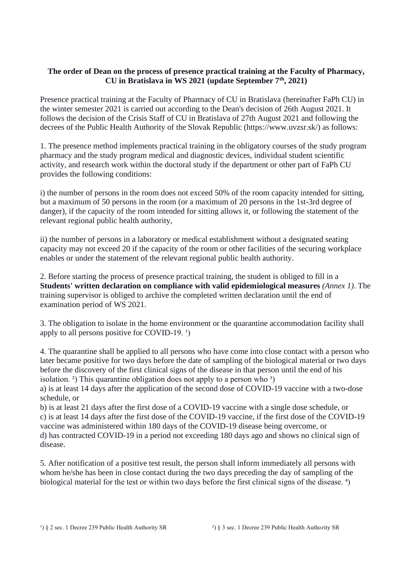## **The order of Dean on the process of presence practical training at the Faculty of Pharmacy, CU in Bratislava in WS 2021 (update September 7th, 2021)**

Presence practical training at the Faculty of Pharmacy of CU in Bratislava (hereinafter FaPh CU) in the winter semester 2021 is carried out according to the Dean's decision of 26th August 2021. It follows the decision of the Crisis Staff of CU in Bratislava of 27th August 2021 and following the decrees of the Public Health Authority of the Slovak Republic (https://www.uvzsr.sk/) as follows:

1. The presence method implements practical training in the obligatory courses of the study program pharmacy and the study program medical and diagnostic devices, individual student scientific activity, and research work within the doctoral study if the department or other part of FaPh CU provides the following conditions:

i) the number of persons in the room does not exceed 50% of the room capacity intended for sitting, but a maximum of 50 persons in the room (or a maximum of 20 persons in the 1st-3rd degree of danger), if the capacity of the room intended for sitting allows it, or following the statement of the relevant regional public health authority,

ii) the number of persons in a laboratory or medical establishment without a designated seating capacity may not exceed 20 if the capacity of the room or other facilities of the securing workplace enables or under the statement of the relevant regional public health authority.

2. Before starting the process of presence practical training, the student is obliged to fill in a **Students' written declaration on compliance with valid epidemiological measures** *(Annex 1)*. The training supervisor is obliged to archive the completed written declaration until the end of examination period of WS 2021.

3. The obligation to isolate in the home environment or the quarantine accommodation facility shall apply to all persons positive for COVID-19.  $\frac{1}{2}$ 

4. The quarantine shall be applied to all persons who have come into close contact with a person who later became positive for two days before the date of sampling of the biological material or two days before the discovery of the first clinical signs of the disease in that person until the end of his isolation.<sup>2</sup>) This quarantine obligation does not apply to a person who  $\frac{3}{2}$ 

a) is at least 14 days after the application of the second dose of COVID-19 vaccine with a two-dose schedule, or

b) is at least 21 days after the first dose of a COVID-19 vaccine with a single dose schedule, or c) is at least 14 days after the first dose of the COVID-19 vaccine, if the first dose of the COVID-19 vaccine was administered within 180 days of the COVID-19 disease being overcome, or d) has contracted COVID-19 in a period not exceeding 180 days ago and shows no clinical sign of disease.

5. After notification of a positive test result, the person shall inform immediately all persons with whom he/she has been in close contact during the two days preceding the day of sampling of the biological material for the test or within two days before the first clinical signs of the disease. <sup>4</sup>)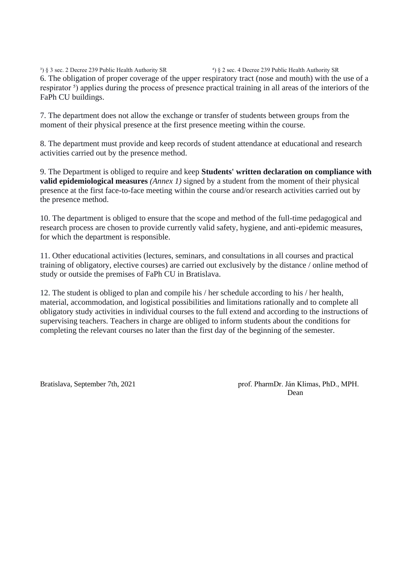<sup>3</sup>) § 3 sec. 2 Decree 239 Public Health Authority SR <sup>4</sup>) § 2 sec. 4 Decree 239 Public Health Authority SR 6. The obligation of proper coverage of the upper respiratory tract (nose and mouth) with the use of a respirator <sup>5</sup>) applies during the process of presence practical training in all areas of the interiors of the FaPh CU buildings.

7. The department does not allow the exchange or transfer of students between groups from the moment of their physical presence at the first presence meeting within the course.

8. The department must provide and keep records of student attendance at educational and research activities carried out by the presence method.

9. The Department is obliged to require and keep **Students' written declaration on compliance with valid epidemiological measures** *(Annex 1)* signed by a student from the moment of their physical presence at the first face-to-face meeting within the course and/or research activities carried out by the presence method.

10. The department is obliged to ensure that the scope and method of the full-time pedagogical and research process are chosen to provide currently valid safety, hygiene, and anti-epidemic measures, for which the department is responsible.

11. Other educational activities (lectures, seminars, and consultations in all courses and practical training of obligatory, elective courses) are carried out exclusively by the distance / online method of study or outside the premises of FaPh CU in Bratislava.

12. The student is obliged to plan and compile his / her schedule according to his / her health, material, accommodation, and logistical possibilities and limitations rationally and to complete all obligatory study activities in individual courses to the full extend and according to the instructions of supervising teachers. Teachers in charge are obliged to inform students about the conditions for completing the relevant courses no later than the first day of the beginning of the semester.

Bratislava, September 7th, 2021 **prof. PharmDr. Ján Klimas, PhD., MPH. Dean**